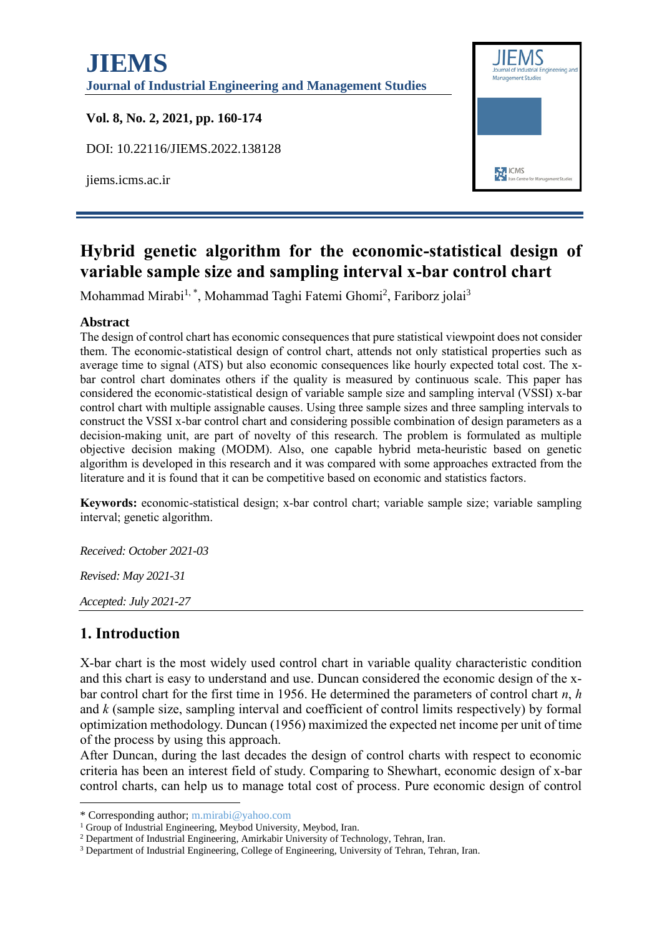# **JIEMS** Management Studies **Journal of Industrial Engineering and Management Studies Vol. 8, No. 2, 2021, pp. 160-174** DOI: 10.22116/JIEMS.2022.138128 **M** ICMS jiems.icms.ac.ir

## **Hybrid genetic algorithm for the economic-statistical design of variable sample size and sampling interval x-bar control chart**

Mohammad Mirabi<sup>1,\*</sup>, Mohammad Taghi Fatemi Ghomi<sup>2</sup>, Fariborz jolai<sup>3</sup>

#### **Abstract**

The design of control chart has economic consequences that pure statistical viewpoint does not consider them. The economic-statistical design of control chart, attends not only statistical properties such as average time to signal (ATS) but also economic consequences like hourly expected total cost. The xbar control chart dominates others if the quality is measured by continuous scale. This paper has considered the economic-statistical design of variable sample size and sampling interval (VSSI) x-bar control chart with multiple assignable causes. Using three sample sizes and three sampling intervals to construct the VSSI x-bar control chart and considering possible combination of design parameters as a decision-making unit, are part of novelty of this research. The problem is formulated as multiple objective decision making (MODM). Also, one capable hybrid meta-heuristic based on genetic algorithm is developed in this research and it was compared with some approaches extracted from the literature and it is found that it can be competitive based on economic and statistics factors.

**Keywords:** economic-statistical design; x-bar control chart; variable sample size; variable sampling interval; genetic algorithm.

*Received: October 2021-03*

*Revised: May 2021-31*

*Accepted: July 2021-27*

## **1. Introduction**

X-bar chart is the most widely used control chart in variable quality characteristic condition and this chart is easy to understand and use. Duncan considered the economic design of the xbar control chart for the first time in 1956. He determined the parameters of control chart *n*, *h* and *k* (sample size, sampling interval and coefficient of control limits respectively) by formal optimization methodology. Duncan (1956) maximized the expected net income per unit of time of the process by using this approach.

After Duncan, during the last decades the design of control charts with respect to economic criteria has been an interest field of study. Comparing to Shewhart, economic design of x-bar control charts, can help us to manage total cost of process. Pure economic design of control

<sup>\*</sup> Corresponding author; m.mirabi@yahoo.com

<sup>&</sup>lt;sup>1</sup> Group of Industrial Engineering, Meybod University, Meybod, Iran.

<sup>2</sup> Department of Industrial Engineering, Amirkabir University of Technology, Tehran, Iran.

<sup>3</sup> Department of Industrial Engineering, College of Engineering, University of Tehran, Tehran, Iran.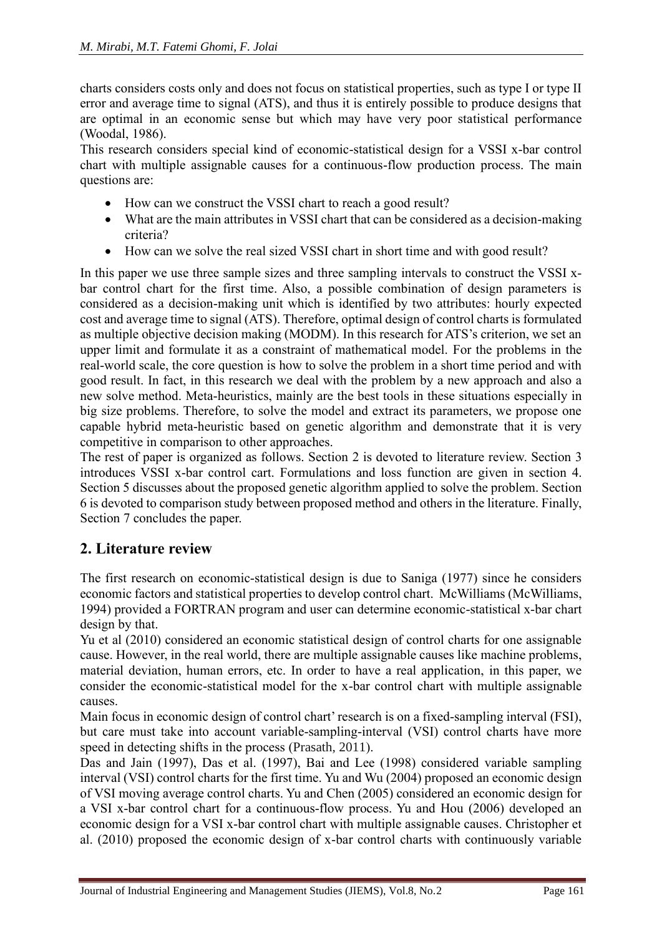charts considers costs only and does not focus on statistical properties, such as type I or type II error and average time to signal (ATS), and thus it is entirely possible to produce designs that are optimal in an economic sense but which may have very poor statistical performance (Woodal, 1986).

This research considers special kind of economic-statistical design for a VSSI x-bar control chart with multiple assignable causes for a continuous-flow production process. The main questions are:

- How can we construct the VSSI chart to reach a good result?
- What are the main attributes in VSSI chart that can be considered as a decision-making criteria?
- How can we solve the real sized VSSI chart in short time and with good result?

In this paper we use three sample sizes and three sampling intervals to construct the VSSI xbar control chart for the first time. Also, a possible combination of design parameters is considered as a decision-making unit which is identified by two attributes: hourly expected cost and average time to signal (ATS). Therefore, optimal design of control charts is formulated as multiple objective decision making (MODM). In this research for ATS's criterion, we set an upper limit and formulate it as a constraint of mathematical model. For the problems in the real-world scale, the core question is how to solve the problem in a short time period and with good result. In fact, in this research we deal with the problem by a new approach and also a new solve method. Meta-heuristics, mainly are the best tools in these situations especially in big size problems. Therefore, to solve the model and extract its parameters, we propose one capable hybrid meta-heuristic based on genetic algorithm and demonstrate that it is very competitive in comparison to other approaches.

The rest of paper is organized as follows. Section 2 is devoted to literature review. Section 3 introduces VSSI x-bar control cart. Formulations and loss function are given in section 4. Section 5 discusses about the proposed genetic algorithm applied to solve the problem. Section 6 is devoted to comparison study between proposed method and others in the literature. Finally, Section 7 concludes the paper.

## **2. Literature review**

The first research on economic-statistical design is due to Saniga (1977) since he considers economic factors and statistical properties to develop control chart. McWilliams (McWilliams, 1994) provided a FORTRAN program and user can determine economic-statistical x-bar chart design by that.

Yu et al (2010) considered an economic statistical design of control charts for one assignable cause. However, in the real world, there are multiple assignable causes like machine problems, material deviation, human errors, etc. In order to have a real application, in this paper, we consider the economic-statistical model for the x-bar control chart with multiple assignable causes.

Main focus in economic design of control chart' research is on a fixed-sampling interval (FSI), but care must take into account variable-sampling-interval (VSI) control charts have more speed in detecting shifts in the process (Prasath, 2011).

Das and Jain (1997), Das et al. (1997), Bai and Lee (1998) considered variable sampling interval (VSI) control charts for the first time. Yu and Wu (2004) proposed an economic design of VSI moving average control charts. Yu and Chen (2005) considered an economic design for a VSI x-bar control chart for a continuous-flow process. Yu and Hou (2006) developed an economic design for a VSI x-bar control chart with multiple assignable causes. Christopher et al. (2010) proposed the economic design of x-bar control charts with continuously variable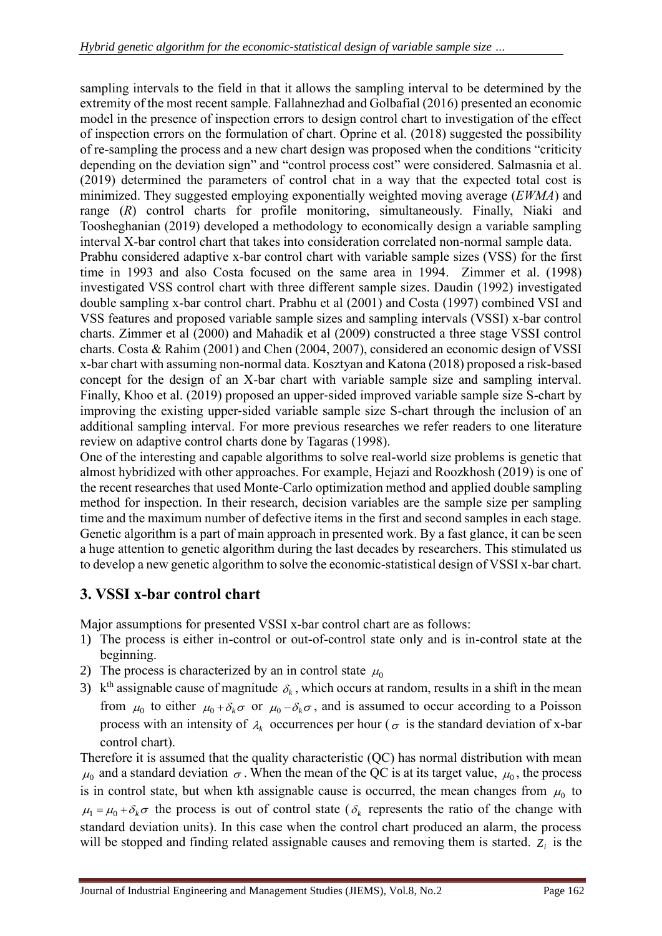sampling intervals to the field in that it allows the sampling interval to be determined by the extremity of the most recent sample. Fallahnezhad and Golbafial (2016) presented an economic model in the presence of inspection errors to design control chart to investigation of the effect of inspection errors on the formulation of chart. Oprine et al. (2018) suggested the possibility of re-sampling the process and a new chart design was proposed when the conditions "criticity depending on the deviation sign" and "control process cost" were considered. Salmasnia et al. (2019) determined the parameters of control chat in a way that the expected total cost is minimized. They suggested employing exponentially weighted moving average (*EWMA*) and range (*R*) control charts for profile monitoring, simultaneously. Finally, Niaki and Toosheghanian (2019) developed a methodology to economically design a variable sampling interval X-bar control chart that takes into consideration correlated non-normal sample data. Prabhu considered adaptive x-bar control chart with variable sample sizes (VSS) for the first time in 1993 and also Costa focused on the same area in 1994. Zimmer et al. (1998) investigated VSS control chart with three different sample sizes. Daudin (1992) investigated double sampling x-bar control chart. Prabhu et al (2001) and Costa (1997) combined VSI and VSS features and proposed variable sample sizes and sampling intervals (VSSI) x-bar control charts. Zimmer et al (2000) and Mahadik et al (2009) constructed a three stage VSSI control charts. Costa & Rahim (2001) and Chen (2004, 2007), considered an economic design of VSSI x-bar chart with assuming non-normal data. Kosztyan and Katona (2018) proposed a risk-based concept for the design of an X-bar chart with variable sample size and sampling interval. Finally, Khoo et al. (2019) proposed an upper‐sided improved variable sample size S-chart by improving the existing upper‐sided variable sample size S-chart through the inclusion of an

additional sampling interval. For more previous researches we refer readers to one literature review on adaptive control charts done by Tagaras (1998). One of the interesting and capable algorithms to solve real-world size problems is genetic that almost hybridized with other approaches. For example, Hejazi and Roozkhosh (2019) is one of the recent researches that used Monte-Carlo optimization method and applied double sampling method for inspection. In their research, decision variables are the sample size per sampling time and the maximum number of defective items in the first and second samples in each stage. Genetic algorithm is a part of main approach in presented work. By a fast glance, it can be seen a huge attention to genetic algorithm during the last decades by researchers. This stimulated us to develop a new genetic algorithm to solve the economic-statistical design of VSSI x-bar chart.

## **3. VSSI x-bar control chart**

Major assumptions for presented VSSI x-bar control chart are as follows:

- 1) The process is either in-control or out-of-control state only and is in-control state at the beginning.
- 2) The process is characterized by an in control state  $\mu_0$
- 3)  $k<sup>th</sup>$  assignable cause of magnitude  $\delta_k$ , which occurs at random, results in a shift in the mean from  $\mu_0$  to either  $\mu_0 + \delta_k \sigma$  or  $\mu_0 - \delta_k \sigma$ , and is assumed to occur according to a Poisson process with an intensity of  $\lambda_k$  occurrences per hour ( $\sigma$  is the standard deviation of x-bar control chart).

Therefore it is assumed that the quality characteristic (QC) has normal distribution with mean  $\mu_0$  and a standard deviation  $\sigma$ . When the mean of the QC is at its target value,  $\mu_0$ , the process is in control state, but when kth assignable cause is occurred, the mean changes from  $\mu_0$  to  $\mu_1 = \mu_0 + \delta_k \sigma$  the process is out of control state ( $\delta_k$  represents the ratio of the change with standard deviation units). In this case when the control chart produced an alarm, the process will be stopped and finding related assignable causes and removing them is started.  $Z_i$  is the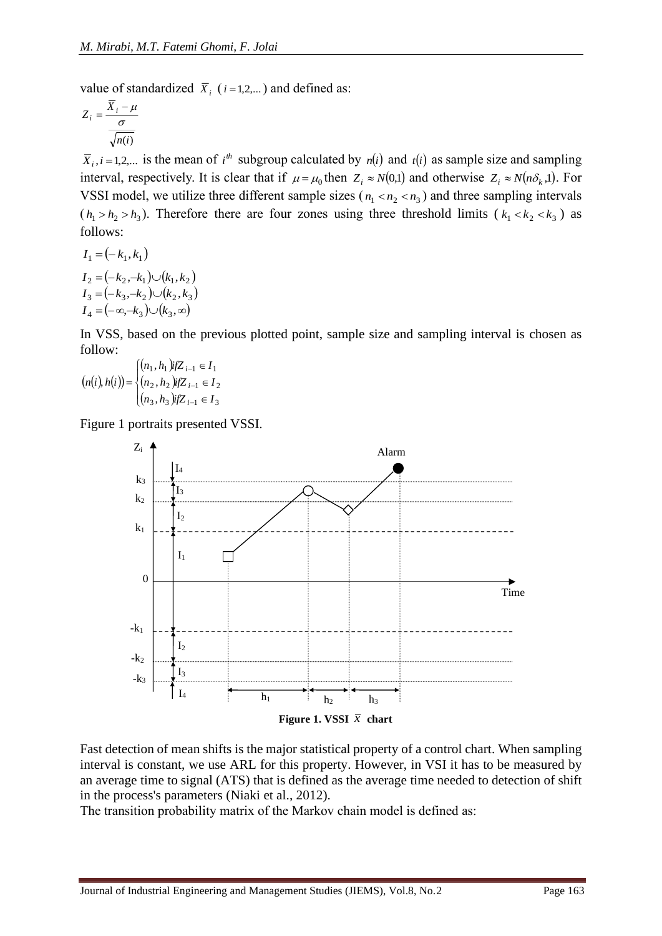value of standardized  $\overline{X}_i$  (*i*=1,2,...) and defined as:

$$
Z_i = \frac{\overline{X}_i - \mu}{\frac{\sigma}{\sqrt{n(i)}}}
$$

 $\bar{X}_i$ , *i* = 1,2,... is the mean of *i*<sup>th</sup> subgroup calculated by *n*(*i*) and *t*(*i*) as sample size and sampling interval, respectively. It is clear that if  $\mu = \mu_0$  then  $Z_i \approx N(0,1)$  and otherwise  $Z_i \approx N(n\delta_k,1)$ . For VSSI model, we utilize three different sample sizes ( $n_1 < n_2 < n_3$ ) and three sampling intervals  $(h_1 > h_2 > h_3)$ . Therefore there are four zones using three threshold limits ( $k_1 < k_2 < k_3$ ) as follows:

$$
I_1 = (-k_1, k_1)
$$
  
\n
$$
I_2 = (-k_2, -k_1) \cup (k_1, k_2)
$$
  
\n
$$
I_3 = (-k_3, -k_2) \cup (k_2, k_3)
$$
  
\n
$$
I_4 = (-\infty, -k_3) \cup (k_3, \infty)
$$

In VSS, based on the previous plotted point, sample size and sampling interval is chosen as follow:

$$
(n(i), h(i)) = \begin{cases} (n_1, h_1) \text{if } Z_{i-1} \in I_1 \\ (n_2, h_2) \text{if } Z_{i-1} \in I_2 \\ (n_3, h_3) \text{if } Z_{i-1} \in I_3 \end{cases}
$$

Figure 1 portraits presented VSSI.



Fast detection of mean shifts is the major statistical property of a control chart. When sampling interval is constant, we use ARL for this property. However, in VSI it has to be measured by an average time to signal (ATS) that is defined as the average time needed to detection of shift in the process's parameters (Niaki et al., 2012).

The transition probability matrix of the Markov chain model is defined as: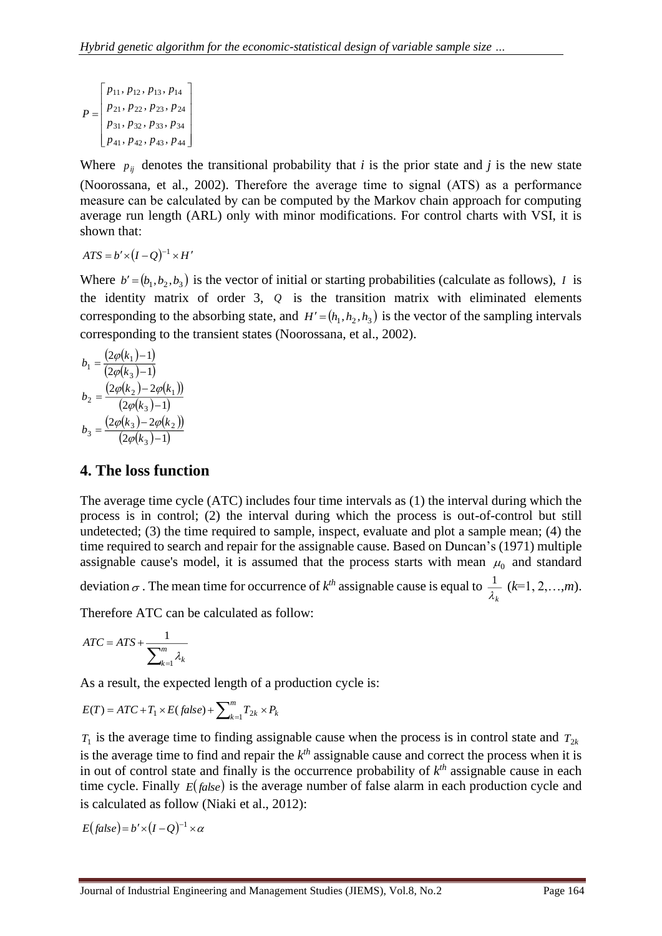$$
P = \begin{bmatrix} p_{11}, p_{12}, p_{13}, p_{14} \\ p_{21}, p_{22}, p_{23}, p_{24} \\ p_{31}, p_{32}, p_{33}, p_{34} \\ p_{41}, p_{42}, p_{43}, p_{44} \end{bmatrix}
$$

Where  $p_{ij}$  denotes the transitional probability that *i* is the prior state and *j* is the new state (Noorossana, et al., 2002). Therefore the average time to signal (ATS) as a performance measure can be calculated by can be computed by the Markov chain approach for computing average run length (ARL) only with minor modifications. For control charts with VSI, it is shown that:

$$
ATS = b' \times (I - Q)^{-1} \times H'
$$

Where  $b' = (b_1, b_2, b_3)$  is the vector of initial or starting probabilities (calculate as follows), *I* is the identity matrix of order 3, *Q* is the transition matrix with eliminated elements corresponding to the absorbing state, and  $H' = (h_1, h_2, h_3)$  is the vector of the sampling intervals corresponding to the transient states (Noorossana, et al., 2002).

$$
b_1 = \frac{(2\varphi(k_1) - 1)}{(2\varphi(k_3) - 1)}
$$
  
\n
$$
b_2 = \frac{(2\varphi(k_2) - 2\varphi(k_1))}{(2\varphi(k_3) - 1)}
$$
  
\n
$$
b_3 = \frac{(2\varphi(k_3) - 2\varphi(k_2))}{(2\varphi(k_3) - 1)}
$$

### **4. The loss function**

The average time cycle (ATC) includes four time intervals as (1) the interval during which the process is in control; (2) the interval during which the process is out-of-control but still undetected; (3) the time required to sample, inspect, evaluate and plot a sample mean; (4) the time required to search and repair for the assignable cause. Based on Duncan's (1971) multiple assignable cause's model, it is assumed that the process starts with mean  $\mu_0$  and standard

deviation  $\sigma$ . The mean time for occurrence of  $k^{th}$  assignable cause is equal to  $\frac{1}{\lambda_k}$  $\frac{1}{k}$  (k=1, 2, ...,*m*).

Therefore ATC can be calculated as follow:

$$
ATC = ATS + \frac{1}{\sum_{k=1}^{m} \lambda_k}
$$

As a result, the expected length of a production cycle is:

$$
E(T) = ATC + T_1 \times E(false) + \sum_{k=1}^{m} T_{2k} \times P_k
$$

 $T_1$  is the average time to finding assignable cause when the process is in control state and  $T_{2k}$ is the average time to find and repair the  $k^{th}$  assignable cause and correct the process when it is in out of control state and finally is the occurrence probability of  $k<sup>th</sup>$  assignable cause in each time cycle. Finally *E*(*false*) is the average number of false alarm in each production cycle and is calculated as follow (Niaki et al., 2012):

$$
E(false) = b' \times (I - Q)^{-1} \times \alpha
$$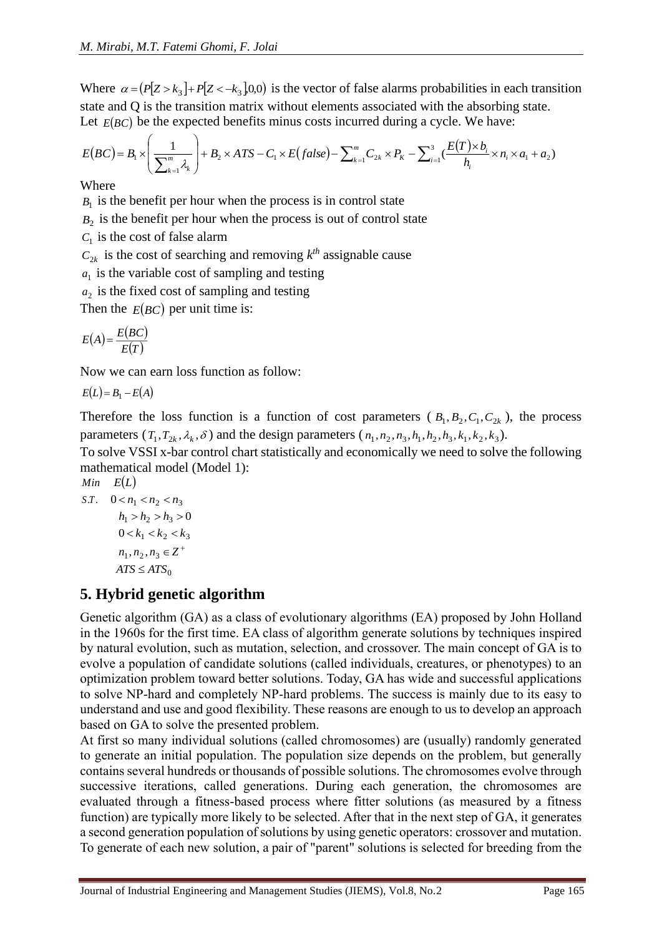Where  $\alpha = (P[Z > k_3] + P[Z < -k_3]0,0)$  is the vector of false alarms probabilities in each transition state and Q is the transition matrix without elements associated with the absorbing state. Let  $E(BC)$  be the expected benefits minus costs incurred during a cycle. We have:

$$
E(BC) = B_1 \times \left(\frac{1}{\sum_{k=1}^m \lambda_k}\right) + B_2 \times ATS - C_1 \times E(false) - \sum_{k=1}^m C_{2k} \times P_k - \sum_{i=1}^3 \frac{E(T) \times b_i}{h_i} \times n_i \times a_1 + a_2)
$$

Where

 $B_1$  is the benefit per hour when the process is in control state

 $B_2$  is the benefit per hour when the process is out of control state

 $C_1$  is the cost of false alarm

 $C_{2k}$  is the cost of searching and removing  $k^{th}$  assignable cause

 $a_1$  is the variable cost of sampling and testing

 $a_2$  is the fixed cost of sampling and testing

Then the  $E(BC)$  per unit time is:

$$
E(A) = \frac{E(BC)}{E(T)}
$$

Now we can earn loss function as follow:

 $E(L) = B_1 - E(A)$ 

Therefore the loss function is a function of cost parameters ( $B_1, B_2, C_1, C_{2k}$ ), the process parameters  $(T_1, T_{2k}, \lambda_k, \delta)$  and the design parameters  $(n_1, n_2, n_3, h_1, h_2, h_3, k_1, k_2, k_3)$ .

To solve VSSI x-bar control chart statistically and economically we need to solve the following mathematical model (Model 1):

$$
Min \t E(L)
$$

$$
S.T. \quad 0 < n_1 < n_2 < n_3
$$
\n
$$
h_1 > h_2 > h_3 > 0
$$
\n
$$
0 < k_1 < k_2 < k_3
$$
\n
$$
n_1, n_2, n_3 \in \mathbb{Z}^+
$$
\n
$$
ATS \leq ATS_0
$$

## **5. Hybrid genetic algorithm**

Genetic algorithm (GA) as a class of [evolutionary algorithms](http://en.wikipedia.org/wiki/Evolutionary_algorithm) (EA) proposed by John Holland in the 1960s for the first time. EA class of algorithm generate solutions by techniques inspired by natural evolution, such as [mutation,](http://en.wikipedia.org/wiki/Mutation_(genetic_algorithm)) [selection,](http://en.wikipedia.org/wiki/Selection_(genetic_algorithm)) and [crossover.](http://en.wikipedia.org/wiki/Crossover_(genetic_algorithm)) The main concept of GA is to evolve a population of candidate solutions (called individuals, creatures, or [phenotypes\)](http://en.wikipedia.org/wiki/Phenotype) to an optimization problem toward better solutions. Today, GA has wide and successful applications to solve NP-hard and completely NP-hard problems. The success is mainly due to its easy to understand and use and good flexibility. These reasons are enough to us to develop an approach based on GA to solve the presented problem.

At first so many individual solutions (called chromosomes) are (usually) randomly generated to generate an initial population. The population size depends on the problem, but generally contains several hundreds or thousands of possible solutions. The chromosomes evolve through successive iterations, called generations. During each generation, the chromosomes are evaluated through a fitness-based process where [fitter](http://en.wikipedia.org/wiki/Fitness_(biology)) solutions (as measured by a [fitness](http://en.wikipedia.org/wiki/Fitness_function)  [function\)](http://en.wikipedia.org/wiki/Fitness_function) are typically more likely to be selected. After that in the next step of GA, it generates a second generation population of solutions by using [genetic operators:](http://en.wikipedia.org/wiki/Genetic_operator) [crossover](http://en.wikipedia.org/wiki/Crossover_(genetic_algorithm)) an[d mutation.](http://en.wikipedia.org/wiki/Mutation_(genetic_algorithm)) To generate of each new solution, a pair of "parent" solutions is selected for breeding from the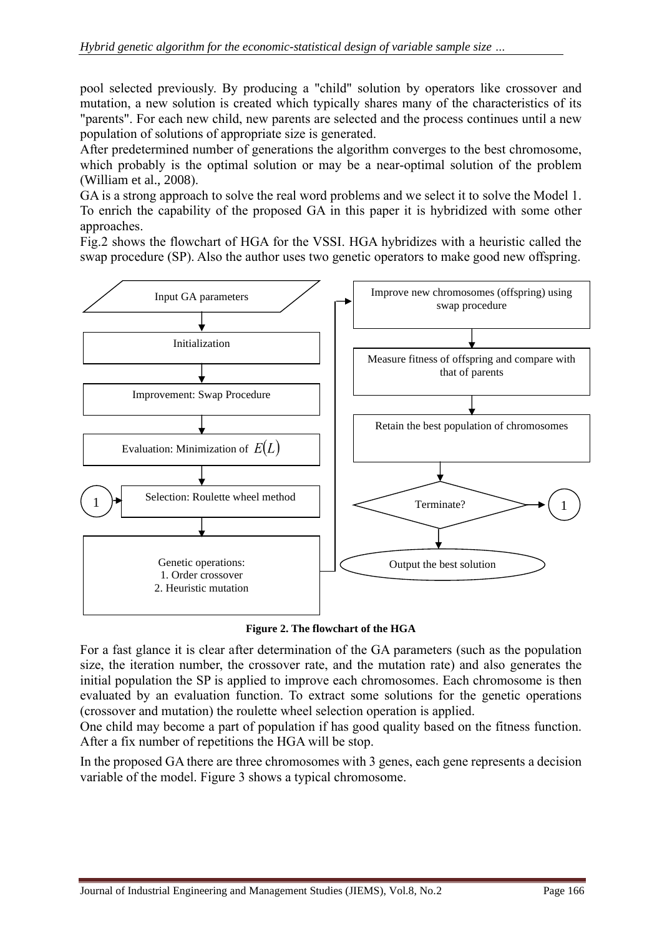pool selected previously. By producing a "child" solution by operators like crossover and mutation, a new solution is created which typically shares many of the characteristics of its "parents". For each new child, new parents are selected and the process continues until a new population of solutions of appropriate size is generated.

After predetermined number of generations the algorithm converges to the best chromosome, which probably is the optimal solution or may be a near-optimal solution of the problem (William et al., 2008).

GA is a strong approach to solve the real word problems and we select it to solve the Model 1. To enrich the capability of the proposed GA in this paper it is hybridized with some other approaches.

Fig.2 shows the flowchart of HGA for the VSSI. HGA hybridizes with a heuristic called the swap procedure (SP). Also the author uses two genetic operators to make good new offspring.



**Figure 2. The flowchart of the HGA**

For a fast glance it is clear after determination of the GA parameters (such as the population size, the iteration number, the crossover rate, and the mutation rate) and also generates the initial population the SP is applied to improve each chromosomes. Each chromosome is then evaluated by an evaluation function. To extract some solutions for the genetic operations (crossover and mutation) the roulette wheel selection operation is applied.

One child may become a part of population if has good quality based on the fitness function. After a fix number of repetitions the HGA will be stop.

In the proposed GA there are three chromosomes with 3 genes, each gene represents a decision variable of the model. Figure 3 shows a typical chromosome.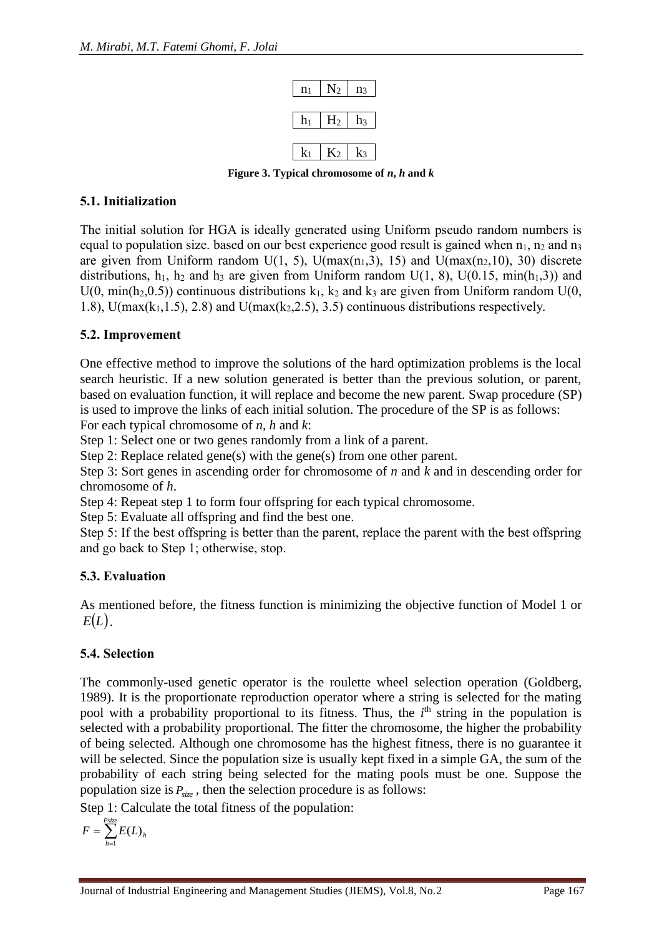

**Figure 3. Typical chromosome of** *n***,** *h* **and** *k*

#### **5.1. Initialization**

The initial solution for HGA is ideally generated using Uniform pseudo random numbers is equal to population size. based on our best experience good result is gained when  $n_1$ ,  $n_2$  and  $n_3$ are given from Uniform random U(1, 5), U(max $(n_1,3)$ , 15) and U(max $(n_2,10)$ , 30) discrete distributions,  $h_1$ ,  $h_2$  and  $h_3$  are given from Uniform random U(1, 8), U(0.15, min( $h_1$ ,3)) and U(0, min(h<sub>2</sub>,0.5)) continuous distributions  $k_1$ ,  $k_2$  and  $k_3$  are given from Uniform random U(0, 1.8),  $U(max(k_1,1.5), 2.8)$  and  $U(max(k_2,2.5), 3.5)$  continuous distributions respectively.

#### **5.2. Improvement**

One effective method to improve the solutions of the hard optimization problems is the local search heuristic. If a new solution generated is better than the previous solution, or parent, based on evaluation function, it will replace and become the new parent. Swap procedure (SP) is used to improve the links of each initial solution. The procedure of the SP is as follows: For each typical chromosome of *n*, *h* and *k*:

Step 1: Select one or two genes randomly from a link of a parent.

Step 2: Replace related gene(s) with the gene(s) from one other parent.

Step 3: Sort genes in ascending order for chromosome of *n* and *k* and in descending order for chromosome of *h*.

Step 4: Repeat step 1 to form four offspring for each typical chromosome.

Step 5: Evaluate all offspring and find the best one.

Step 5: If the best offspring is better than the parent, replace the parent with the best offspring and go back to Step 1; otherwise, stop.

### **5.3. Evaluation**

As mentioned before, the fitness function is minimizing the objective function of Model 1 or *<sup>E</sup>*(*L*).

### **5.4. Selection**

The commonly-used genetic operator is the roulette wheel selection operation (Goldberg, 1989). It is the proportionate reproduction operator where a string is selected for the mating pool with a probability proportional to its fitness. Thus, the  $i<sup>th</sup>$  string in the population is selected with a probability proportional. The fitter the chromosome, the higher the probability of being selected. Although one chromosome has the highest fitness, there is no guarantee it will be selected. Since the population size is usually kept fixed in a simple GA, the sum of the probability of each string being selected for the mating pools must be one. Suppose the population size is  $P_{size}$ , then the selection procedure is as follows:

Step 1: Calculate the total fitness of the population:

$$
F = \sum_{h=1}^{Psize} E(L)_h
$$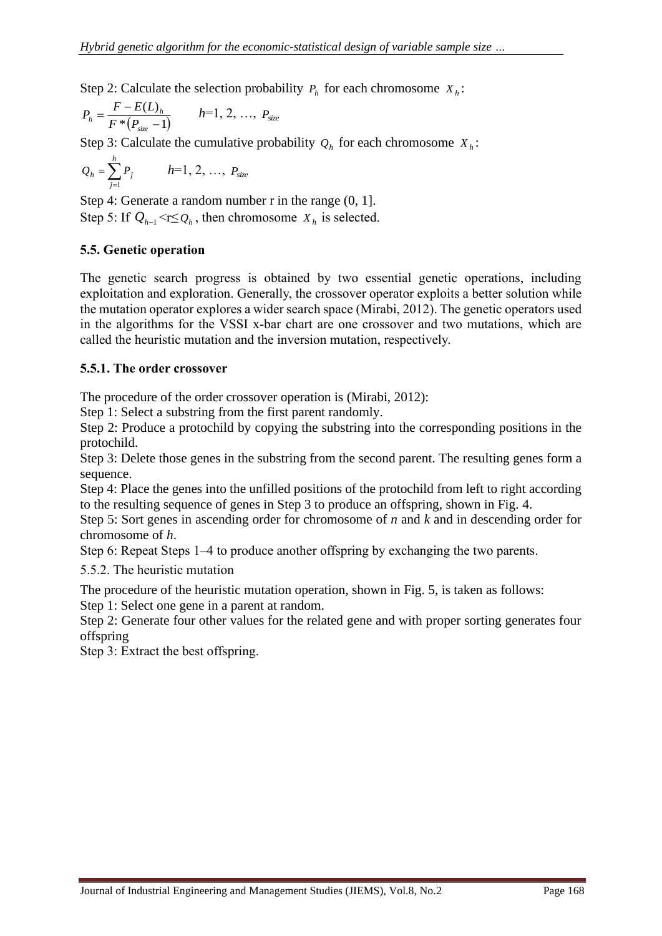Step 2: Calculate the selection probability  $P_h$  for each chromosome  $X_h$ :

$$
P_h = \frac{F - E(L)_h}{F * (P_{size} - 1)}
$$
  $h=1, 2, ..., P_{size}$ 

Step 3: Calculate the cumulative probability  $Q_h$  for each chromosome  $X_h$ :

$$
Q_h = \sum_{j=1}^h P_j
$$
  $h=1, 2, ..., P_{size}$ 

Step 4: Generate a random number r in the range (0, 1]. Step 5: If  $Q_{h-1} < r \leq Q_h$ , then chromosome  $X_h$  is selected.

#### **5.5. Genetic operation**

The genetic search progress is obtained by two essential genetic operations, including exploitation and exploration. Generally, the crossover operator exploits a better solution while the mutation operator explores a wider search space (Mirabi, 2012). The genetic operators used in the algorithms for the VSSI x-bar chart are one crossover and two mutations, which are called the heuristic mutation and the inversion mutation, respectively.

#### **5.5.1. The order crossover**

The procedure of the order crossover operation is (Mirabi, 2012):

Step 1: Select a substring from the first parent randomly.

Step 2: Produce a protochild by copying the substring into the corresponding positions in the protochild.

Step 3: Delete those genes in the substring from the second parent. The resulting genes form a sequence.

Step 4: Place the genes into the unfilled positions of the protochild from left to right according to the resulting sequence of genes in Step 3 to produce an offspring, shown in Fig. 4.

Step 5: Sort genes in ascending order for chromosome of *n* and *k* and in descending order for chromosome of *h*.

Step 6: Repeat Steps 1–4 to produce another offspring by exchanging the two parents.

5.5.2. The heuristic mutation

The procedure of the heuristic mutation operation, shown in Fig. 5, is taken as follows:

Step 1: Select one gene in a parent at random.

Step 2: Generate four other values for the related gene and with proper sorting generates four offspring

Step 3: Extract the best offspring.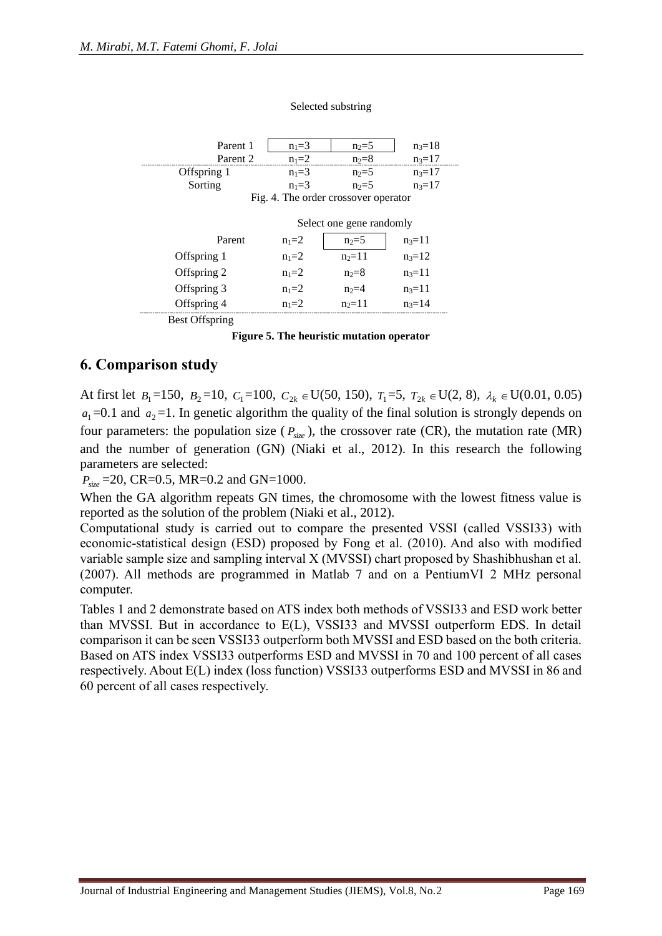| Parent 1    | $n_1 = 3$ | $n_2 = 5$                            | $n_3 = 18$ |  |  |  |
|-------------|-----------|--------------------------------------|------------|--|--|--|
| Parent 2    | $n_1 = 2$ | $n_2=8$                              | $n_3 = 17$ |  |  |  |
| Offspring 1 | $n_1 = 3$ | $n_2 = 5$                            | $n_3 = 17$ |  |  |  |
| Sorting     | $n_1 = 3$ | $n=5$                                | $n=17$     |  |  |  |
|             |           | Fig. 4. The order crossover operator |            |  |  |  |
|             |           | Select one gene randomly             |            |  |  |  |
| Parent      | $n_1=2$   | $n_{2}=5$                            | $n_3=11$   |  |  |  |
| Offspring 1 | $n_1 = 2$ | $n_2=11$                             | $n_3 = 12$ |  |  |  |
| Offspring 2 | $n_1 = 2$ | $n_2=8$                              | $n_3 = 11$ |  |  |  |
| Offspring 3 | $n_1 = 2$ | $n_2=4$                              | $n=11$     |  |  |  |
| Offspring 4 | $n_1 = 2$ | $n_2=11$                             | $n = 14$   |  |  |  |

#### Selected substring

Best Offspring

**Figure 5. The heuristic mutation operator**

### **6. Comparison study**

At first let  $B_1 = 150$ ,  $B_2 = 10$ ,  $C_1 = 100$ ,  $C_{2k} \in U(50, 150)$ ,  $T_1 = 5$ ,  $T_{2k} \in U(2, 8)$ ,  $\lambda_k \in U(0.01, 0.05)$  $a_1$ =0.1 and  $a_2$ =1. In genetic algorithm the quality of the final solution is strongly depends on four parameters: the population size ( $P_{size}$ ), the crossover rate (CR), the mutation rate (MR) and the number of generation (GN) (Niaki et al., 2012). In this research the following parameters are selected:

*<sup>P</sup>size* =20, CR=0.5, MR=0.2 and GN=1000.

When the GA algorithm repeats GN times, the chromosome with the lowest fitness value is reported as the solution of the problem (Niaki et al., 2012).

Computational study is carried out to compare the presented VSSI (called VSSI33) with economic-statistical design (ESD) proposed by Fong et al. (2010). And also with modified variable sample size and sampling interval X (MVSSI) chart proposed by Shashibhushan et al. (2007). All methods are programmed in Matlab 7 and on a PentiumVI 2 MHz personal computer.

Tables 1 and 2 demonstrate based on ATS index both methods of VSSI33 and ESD work better than MVSSI. But in accordance to E(L), VSSI33 and MVSSI outperform EDS. In detail comparison it can be seen VSSI33 outperform both MVSSI and ESD based on the both criteria. Based on ATS index VSSI33 outperforms ESD and MVSSI in 70 and 100 percent of all cases respectively. About E(L) index (loss function) VSSI33 outperforms ESD and MVSSI in 86 and 60 percent of all cases respectively.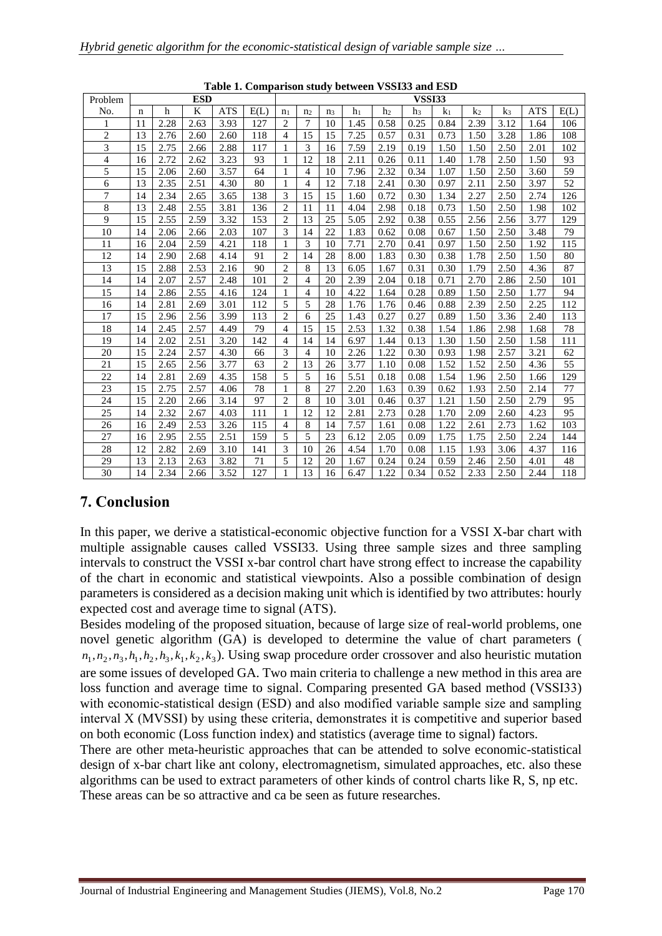| Problem        |             |             | <b>ESD</b> |            |      | <b>VSSI33</b>  |                |                |       |                |                |                |                |       |            |      |  |  |
|----------------|-------------|-------------|------------|------------|------|----------------|----------------|----------------|-------|----------------|----------------|----------------|----------------|-------|------------|------|--|--|
| No.            | $\mathbf n$ | $\mathbf h$ | K          | <b>ATS</b> | E(L) | n <sub>1</sub> | n <sub>2</sub> | n <sub>3</sub> | $h_1$ | h <sub>2</sub> | h <sub>3</sub> | k <sub>1</sub> | k <sub>2</sub> | $k_3$ | <b>ATS</b> | E(L) |  |  |
| $\mathbf{1}$   | 11          | 2.28        | 2.63       | 3.93       | 127  | 2              | 7              | 10             | 1.45  | 0.58           | 0.25           | 0.84           | 2.39           | 3.12  | 1.64       | 106  |  |  |
| $\overline{c}$ | 13          | 2.76        | 2.60       | 2.60       | 118  | 4              | 15             | 15             | 7.25  | 0.57           | 0.31           | 0.73           | 1.50           | 3.28  | 1.86       | 108  |  |  |
| 3              | 15          | 2.75        | 2.66       | 2.88       | 117  | $\mathbf{1}$   | 3              | 16             | 7.59  | 2.19           | 0.19           | 1.50           | 1.50           | 2.50  | 2.01       | 102  |  |  |
| $\overline{4}$ | 16          | 2.72        | 2.62       | 3.23       | 93   | $\mathbf{1}$   | 12             | 18             | 2.11  | 0.26           | 0.11           | 1.40           | 1.78           | 2.50  | 1.50       | 93   |  |  |
| 5              | 15          | 2.06        | 2.60       | 3.57       | 64   | 1              | 4              | 10             | 7.96  | 2.32           | 0.34           | 1.07           | 1.50           | 2.50  | 3.60       | 59   |  |  |
| 6              | 13          | 2.35        | 2.51       | 4.30       | 80   | 1              | 4              | 12             | 7.18  | 2.41           | 0.30           | 0.97           | 2.11           | 2.50  | 3.97       | 52   |  |  |
| $\overline{7}$ | 14          | 2.34        | 2.65       | 3.65       | 138  | 3              | 15             | 15             | 1.60  | 0.72           | 0.30           | 1.34           | 2.27           | 2.50  | 2.74       | 126  |  |  |
| 8              | 13          | 2.48        | 2.55       | 3.81       | 136  | $\overline{2}$ | 11             | 11             | 4.04  | 2.98           | 0.18           | 0.73           | 1.50           | 2.50  | 1.98       | 102  |  |  |
| 9              | 15          | 2.55        | 2.59       | 3.32       | 153  | $\overline{2}$ | 13             | 25             | 5.05  | 2.92           | 0.38           | 0.55           | 2.56           | 2.56  | 3.77       | 129  |  |  |
| 10             | 14          | 2.06        | 2.66       | 2.03       | 107  | 3              | 14             | 22             | 1.83  | 0.62           | 0.08           | 0.67           | 1.50           | 2.50  | 3.48       | 79   |  |  |
| 11             | 16          | 2.04        | 2.59       | 4.21       | 118  | $\mathbf{1}$   | 3              | 10             | 7.71  | 2.70           | 0.41           | 0.97           | 1.50           | 2.50  | 1.92       | 115  |  |  |
| 12             | 14          | 2.90        | 2.68       | 4.14       | 91   | $\overline{2}$ | 14             | 28             | 8.00  | 1.83           | 0.30           | 0.38           | 1.78           | 2.50  | 1.50       | 80   |  |  |
| 13             | 15          | 2.88        | 2.53       | 2.16       | 90   | $\overline{2}$ | 8              | 13             | 6.05  | 1.67           | 0.31           | 0.30           | 1.79           | 2.50  | 4.36       | 87   |  |  |
| 14             | 14          | 2.07        | 2.57       | 2.48       | 101  | $\overline{c}$ | $\overline{4}$ | 20             | 2.39  | 2.04           | 0.18           | 0.71           | 2.70           | 2.86  | 2.50       | 101  |  |  |
| 15             | 14          | 2.86        | 2.55       | 4.16       | 124  | $\mathbf{1}$   | 4              | 10             | 4.22  | 1.64           | 0.28           | 0.89           | 1.50           | 2.50  | 1.77       | 94   |  |  |
| 16             | 14          | 2.81        | 2.69       | 3.01       | 112  | 5              | 5              | 28             | 1.76  | 1.76           | 0.46           | 0.88           | 2.39           | 2.50  | 2.25       | 112  |  |  |
| 17             | 15          | 2.96        | 2.56       | 3.99       | 113  | $\overline{c}$ | 6              | 25             | 1.43  | 0.27           | 0.27           | 0.89           | 1.50           | 3.36  | 2.40       | 113  |  |  |
| 18             | 14          | 2.45        | 2.57       | 4.49       | 79   | 4              | 15             | 15             | 2.53  | 1.32           | 0.38           | 1.54           | 1.86           | 2.98  | 1.68       | 78   |  |  |
| 19             | 14          | 2.02        | 2.51       | 3.20       | 142  | $\overline{4}$ | 14             | 14             | 6.97  | 1.44           | 0.13           | 1.30           | 1.50           | 2.50  | 1.58       | 111  |  |  |
| 20             | 15          | 2.24        | 2.57       | 4.30       | 66   | 3              | 4              | 10             | 2.26  | 1.22           | 0.30           | 0.93           | 1.98           | 2.57  | 3.21       | 62   |  |  |
| 21             | 15          | 2.65        | 2.56       | 3.77       | 63   | $\overline{2}$ | 13             | 26             | 3.77  | 1.10           | 0.08           | 1.52           | 1.52           | 2.50  | 4.36       | 55   |  |  |
| 22             | 14          | 2.81        | 2.69       | 4.35       | 158  | 5              | 5              | 16             | 5.51  | 0.18           | 0.08           | 1.54           | 1.96           | 2.50  | 1.66       | 129  |  |  |
| 23             | 15          | 2.75        | 2.57       | 4.06       | 78   | 1              | 8              | 27             | 2.20  | 1.63           | 0.39           | 0.62           | 1.93           | 2.50  | 2.14       | 77   |  |  |
| 24             | 15          | 2.20        | 2.66       | 3.14       | 97   | $\overline{c}$ | 8              | 10             | 3.01  | 0.46           | 0.37           | 1.21           | 1.50           | 2.50  | 2.79       | 95   |  |  |
| 25             | 14          | 2.32        | 2.67       | 4.03       | 111  | $\mathbf{1}$   | 12             | 12             | 2.81  | 2.73           | 0.28           | 1.70           | 2.09           | 2.60  | 4.23       | 95   |  |  |
| 26             | 16          | 2.49        | 2.53       | 3.26       | 115  | $\overline{4}$ | 8              | 14             | 7.57  | 1.61           | 0.08           | 1.22           | 2.61           | 2.73  | 1.62       | 103  |  |  |
| 27             | 16          | 2.95        | 2.55       | 2.51       | 159  | 5              | 5              | 23             | 6.12  | 2.05           | 0.09           | 1.75           | 1.75           | 2.50  | 2.24       | 144  |  |  |
| 28             | 12          | 2.82        | 2.69       | 3.10       | 141  | 3              | 10             | 26             | 4.54  | 1.70           | 0.08           | 1.15           | 1.93           | 3.06  | 4.37       | 116  |  |  |
| 29             | 13          | 2.13        | 2.63       | 3.82       | 71   | 5              | 12             | 20             | 1.67  | 0.24           | 0.24           | 0.59           | 2.46           | 2.50  | 4.01       | 48   |  |  |
| 30             | 14          | 2.34        | 2.66       | 3.52       | 127  | $\mathbf{1}$   | 13             | 16             | 6.47  | 1.22           | 0.34           | 0.52           | 2.33           | 2.50  | 2.44       | 118  |  |  |

**Table 1. Comparison study between VSSI33 and ESD**

## **7. Conclusion**

In this paper, we derive a statistical-economic objective function for a VSSI X-bar chart with multiple assignable causes called VSSI33. Using three sample sizes and three sampling intervals to construct the VSSI x-bar control chart have strong effect to increase the capability of the chart in economic and statistical viewpoints. Also a possible combination of design parameters is considered as a decision making unit which is identified by two attributes: hourly expected cost and average time to signal (ATS).

Besides modeling of the proposed situation, because of large size of real-world problems, one novel genetic algorithm (GA) is developed to determine the value of chart parameters (  $n_1, n_2, n_3, h_1, h_2, h_3, k_1, k_2, k_3$ ). Using swap procedure order crossover and also heuristic mutation are some issues of developed GA. Two main criteria to challenge a new method in this area are loss function and average time to signal. Comparing presented GA based method (VSSI33) with economic-statistical design (ESD) and also modified variable sample size and sampling interval X (MVSSI) by using these criteria, demonstrates it is competitive and superior based on both economic (Loss function index) and statistics (average time to signal) factors.

There are other meta-heuristic approaches that can be attended to solve economic-statistical design of x-bar chart like ant colony, electromagnetism, simulated approaches, etc. also these algorithms can be used to extract parameters of other kinds of control charts like R, S, np etc. These areas can be so attractive and ca be seen as future researches.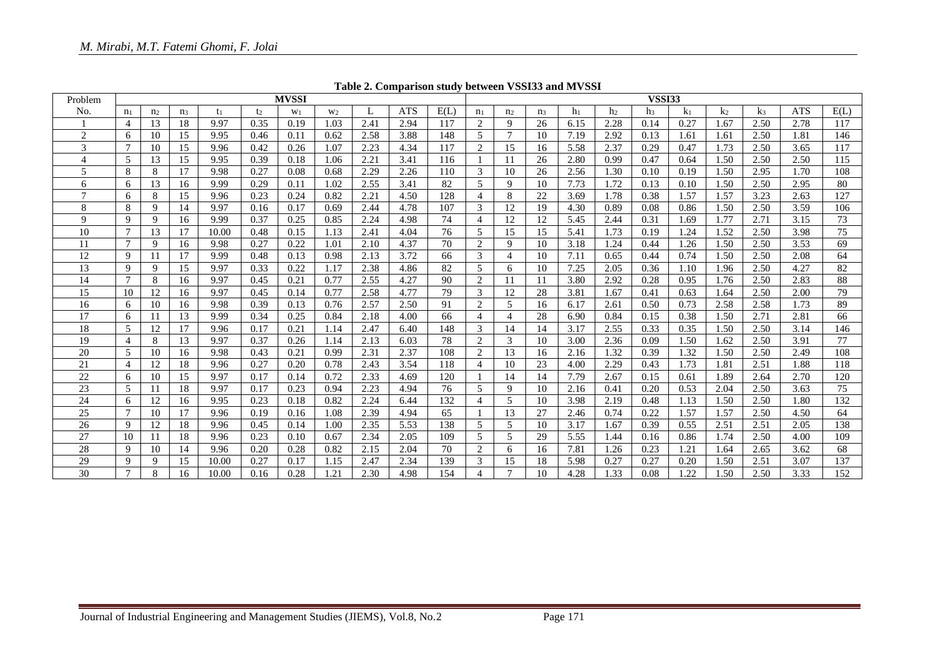| Problem        | <b>MVSSI</b>   |                |                |       |                |       |                |      |            | <b>VSSI33</b> |                |                |    |      |                |                |                |      |      |            |      |
|----------------|----------------|----------------|----------------|-------|----------------|-------|----------------|------|------------|---------------|----------------|----------------|----|------|----------------|----------------|----------------|------|------|------------|------|
| No.            | n <sub>1</sub> | n <sub>2</sub> | n <sub>3</sub> | $t_1$ | t <sub>2</sub> | $W_1$ | W <sub>2</sub> |      | <b>ATS</b> | E(L)          | n <sub>1</sub> | n <sub>2</sub> | n3 | h1   | h <sub>2</sub> | $\mathbf{h}_3$ | k <sub>1</sub> | k2   | k3   | <b>ATS</b> | E(L) |
|                | $\overline{4}$ | 13             | 18             | 9.97  | 0.35           | 0.19  | 1.03           | 2.41 | 2.94       | 117           | 2              | 9              | 26 | 6.15 | 2.28           | 0.14           | 0.27           | 1.67 | 2.50 | 2.78       | 117  |
| $\overline{2}$ | 6              | 10             | 15             | 9.95  | 0.46           | 0.11  | 0.62           | 2.58 | 3.88       | 148           | 5              | 7              | 10 | 7.19 | 2.92           | 0.13           | 1.61           | 1.61 | 2.50 | 1.81       | 146  |
| 3              | $\overline{7}$ | 10             | 15             | 9.96  | 0.42           | 0.26  | 1.07           | 2.23 | 4.34       | 117           | 2              | 15             | 16 | 5.58 | 2.37           | 0.29           | 0.47           | 1.73 | 2.50 | 3.65       | 117  |
| $\overline{4}$ | 5              | 13             | 15             | 9.95  | 0.39           | 0.18  | 1.06           | 2.21 | 3.41       | 116           |                | 11             | 26 | 2.80 | 0.99           | 0.47           | 0.64           | 1.50 | 2.50 | 2.50       | 115  |
| $\overline{5}$ | 8              | 8              | 17             | 9.98  | 0.27           | 0.08  | 0.68           | 2.29 | 2.26       | 110           | 3              | 10             | 26 | 2.56 | 1.30           | 0.10           | 0.19           | 1.50 | 2.95 | 1.70       | 108  |
| 6              | 6              | 13             | 16             | 9.99  | 0.29           | 0.11  | 1.02           | 2.55 | 3.41       | 82            | 5              | 9              | 10 | 7.73 | 1.72           | 0.13           | 0.10           | 1.50 | 2.50 | 2.95       | 80   |
| $\overline{7}$ | 6              | 8              | 15             | 9.96  | 0.23           | 0.24  | 0.82           | 2.21 | 4.50       | 128           | $\overline{4}$ | 8              | 22 | 3.69 | 1.78           | 0.38           | 1.57           | 1.57 | 3.23 | 2.63       | 127  |
| 8              | 8              | $\mathbf Q$    | 14             | 9.97  | 0.16           | 0.17  | 0.69           | 2.44 | 4.78       | 107           | 3              | 12             | 19 | 4.30 | 0.89           | 0.08           | 0.86           | 1.50 | 2.50 | 3.59       | 106  |
| $\mathbf Q$    | $\mathbf{Q}$   | 9              | 16             | 9.99  | 0.37           | 0.25  | 0.85           | 2.24 | 4.98       | 74            | $\overline{4}$ | 12             | 12 | 5.45 | 2.44           | 0.31           | 1.69           | 1.77 | 2.71 | 3.15       | 73   |
| 10             | $\tau$         | 13             | 17             | 10.00 | 0.48           | 0.15  | 1.13           | 2.41 | 4.04       | 76            | 5              | 15             | 15 | 5.41 | 1.73           | 0.19           | 1.24           | 1.52 | 2.50 | 3.98       | 75   |
| 11             | $\tau$         | 9              | 16             | 9.98  | 0.27           | 0.22  | 1.01           | 2.10 | 4.37       | 70            | $\overline{2}$ | 9              | 10 | 3.18 | 1.24           | 0.44           | 1.26           | 1.50 | 2.50 | 3.53       | 69   |
| 12             | 9              | 11             | 17             | 9.99  | 0.48           | 0.13  | 0.98           | 2.13 | 3.72       | 66            | 3              | 4              | 10 | 7.11 | 0.65           | 0.44           | 0.74           | 1.50 | 2.50 | 2.08       | 64   |
| 13             | 9              | $\mathbf Q$    | 15             | 9.97  | 0.33           | 0.22  | 1.17           | 2.38 | 4.86       | 82            | 5              | 6              | 10 | 7.25 | 2.05           | 0.36           | 1.10           | 1.96 | 2.50 | 4.27       | 82   |
| 14             | $\tau$         | 8              | 16             | 9.97  | 0.45           | 0.21  | 0.77           | 2.55 | 4.27       | 90            | 2              | 11             | 11 | 3.80 | 2.92           | 0.28           | 0.95           | 1.76 | 2.50 | 2.83       | 88   |
| 15             | 10             | 12             | 16             | 9.97  | 0.45           | 0.14  | 0.77           | 2.58 | 4.77       | 79            | 3              | 12             | 28 | 3.81 | 1.67           | 0.41           | 0.63           | 1.64 | 2.50 | 2.00       | 79   |
| 16             | 6              | 10             | 16             | 9.98  | 0.39           | 0.13  | 0.76           | 2.57 | 2.50       | 91            | 2              | 5              | 16 | 6.17 | 2.61           | 0.50           | 0.73           | 2.58 | 2.58 | 1.73       | 89   |
| 17             | 6              | 11             | 13             | 9.99  | 0.34           | 0.25  | 0.84           | 2.18 | 4.00       | 66            | $\overline{4}$ | 4              | 28 | 6.90 | 0.84           | 0.15           | 0.38           | 1.50 | 2.71 | 2.81       | 66   |
| 18             | 5              | 12             | 17             | 9.96  | 0.17           | 0.21  | 1.14           | 2.47 | 6.40       | 148           | 3              | 14             | 14 | 3.17 | 2.55           | 0.33           | 0.35           | 1.50 | 2.50 | 3.14       | 146  |
| 19             | $\overline{4}$ | 8              | 13             | 9.97  | 0.37           | 0.26  | 1.14           | 2.13 | 6.03       | 78            | 2              | 3              | 10 | 3.00 | 2.36           | 0.09           | 1.50           | 1.62 | 2.50 | 3.91       | 77   |
| 20             | 5              | 10             | 16             | 9.98  | 0.43           | 0.21  | 0.99           | 2.31 | 2.37       | 108           | 2              | 13             | 16 | 2.16 | 1.32           | 0.39           | 1.32           | 1.50 | 2.50 | 2.49       | 108  |
| 21             | $\overline{4}$ | 12             | 18             | 9.96  | 0.27           | 0.20  | 0.78           | 2.43 | 3.54       | 118           | $\overline{4}$ | 10             | 23 | 4.00 | 2.29           | 0.43           | 1.73           | 1.81 | 2.51 | 1.88       | 118  |
| 22             | 6              | 10             | 15             | 9.97  | 0.17           | 0.14  | 0.72           | 2.33 | 4.69       | 120           |                | 14             | 14 | 7.79 | 2.67           | 0.15           | 0.61           | 1.89 | 2.64 | 2.70       | 120  |
| 23             | 5              | 11             | 18             | 9.97  | 0.17           | 0.23  | 0.94           | 2.23 | 4.94       | 76            | 5              | 9              | 10 | 2.16 | 0.41           | 0.20           | 0.53           | 2.04 | 2.50 | 3.63       | 75   |
| 24             | 6              | 12             | 16             | 9.95  | 0.23           | 0.18  | 0.82           | 2.24 | 6.44       | 132           | $\overline{4}$ | 5              | 10 | 3.98 | 2.19           | 0.48           | 1.13           | 1.50 | 2.50 | 1.80       | 132  |
| 25             | $\tau$         | 10             | 17             | 9.96  | 0.19           | 0.16  | 1.08           | 2.39 | 4.94       | 65            |                | 13             | 27 | 2.46 | 0.74           | 0.22           | 1.57           | 1.57 | 2.50 | 4.50       | 64   |
| 26             | 9              | 12             | 18             | 9.96  | 0.45           | 0.14  | 1.00           | 2.35 | 5.53       | 138           | 5              | 5              | 10 | 3.17 | 1.67           | 0.39           | 0.55           | 2.51 | 2.51 | 2.05       | 138  |
| 27             | 10             | -11            | 18             | 9.96  | 0.23           | 0.10  | 0.67           | 2.34 | 2.05       | 109           | 5              | 5              | 29 | 5.55 | 1.44           | 0.16           | 0.86           | 1.74 | 2.50 | 4.00       | 109  |
| 28             | 9              | 10             | 14             | 9.96  | 0.20           | 0.28  | 0.82           | 2.15 | 2.04       | 70            | 2              | 6              | 16 | 7.81 | 1.26           | 0.23           | 1.21           | 1.64 | 2.65 | 3.62       | 68   |
| 29             | 9              | $\mathbf Q$    | 15             | 10.00 | 0.27           | 0.17  | 1.15           | 2.47 | 2.34       | 139           | 3              | 15             | 18 | 5.98 | 0.27           | 0.27           | 0.20           | 1.50 | 2.51 | 3.07       | 137  |
| 30             | $\tau$         | 8              | 16             | 10.00 | 0.16           | 0.28  | 1.21           | 2.30 | 4.98       | 154           | $\overline{4}$ | 7              | 10 | 4.28 | 1.33           | 0.08           | 1.22           | 1.50 | 2.50 | 3.33       | 152  |

**Table 2. Comparison study between VSSI33 and MVSSI**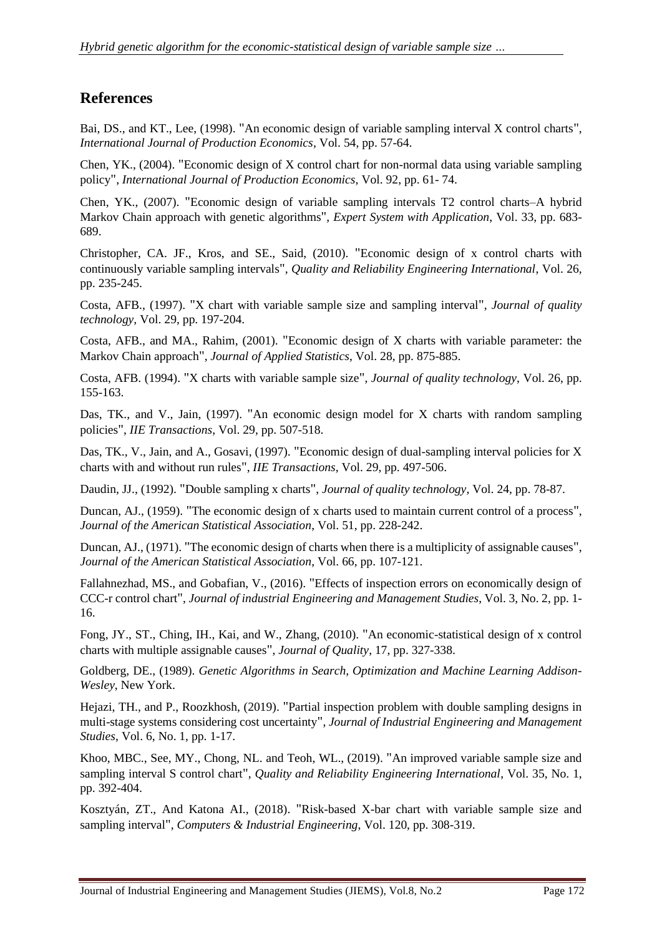## **References**

Bai, DS., and KT., Lee, (1998). "An economic design of variable sampling interval X control charts", *International Journal of Production Economics*, Vol. 54, pp. 57-64.

Chen, YK., (2004). "Economic design of X control chart for non-normal data using variable sampling policy", *International Journal of Production Economics*, Vol. 92, pp. 61- 74.

Chen, YK., (2007). "Economic design of variable sampling intervals T2 control charts–A hybrid Markov Chain approach with genetic algorithms", *Expert System with Application*, Vol. 33, pp. 683- 689.

Christopher, CA. JF., Kros, and SE., Said, (2010). "Economic design of x control charts with continuously variable sampling intervals", *Quality and Reliability Engineering International*, Vol. 26, pp. 235-245.

Costa, AFB., (1997). "X chart with variable sample size and sampling interval", *Journal of quality technology*, Vol. 29, pp. 197-204.

Costa, AFB., and MA., Rahim, (2001). "Economic design of X charts with variable parameter: the Markov Chain approach", *Journal of Applied Statistics*, Vol. 28, pp. 875-885.

Costa, AFB. (1994). "X charts with variable sample size", *Journal of quality technology*, Vol. 26, pp. 155-163.

Das, TK., and V., Jain, (1997). "An economic design model for X charts with random sampling policies", *IIE Transactions*, Vol. 29, pp. 507-518.

Das, TK., V., Jain, and A., Gosavi, (1997). "Economic design of dual-sampling interval policies for X charts with and without run rules", *IIE Transactions*, Vol. 29, pp. 497-506.

Daudin, JJ., (1992). "Double sampling x charts", *Journal of quality technology*, Vol. 24, pp. 78-87.

Duncan, AJ., (1959). "The economic design of x charts used to maintain current control of a process", *Journal of the American Statistical Association*, Vol. 51, pp. 228-242.

Duncan, AJ., (1971). "The economic design of charts when there is a multiplicity of assignable causes", *Journal of the American Statistical Association*, Vol. 66, pp. 107-121.

Fallahnezhad, MS., and Gobafian, V., (2016). "Effects of inspection errors on economically design of CCC-r control chart", *Journal of industrial Engineering and Management Studies*, Vol. 3, No. 2, pp. 1- 16.

Fong, JY., ST., Ching, IH., Kai, and W., Zhang, (2010). "An economic-statistical design of x control charts with multiple assignable causes", *Journal of Quality*, 17, pp. 327-338.

Goldberg, DE., (1989). *Genetic Algorithms in Search, Optimization and Machine Learning Addison-Wesley*, New York.

Hejazi, TH., and P., Roozkhosh, (2019). "Partial inspection problem with double sampling designs in multi-stage systems considering cost uncertainty", *Journal of Industrial Engineering and Management Studies*, Vol. 6, No. 1, pp. 1-17.

Khoo, MBC., See, MY., Chong, NL. and Teoh, WL., (2019). "An improved variable sample size and sampling interval S control chart", *Quality and Reliability Engineering International*, Vol. 35, No. 1, pp. 392-404.

[Kosztyán,](https://www.sciencedirect.com/science/article/pii/S0360835218301967#!) ZT., And [Katona](https://www.sciencedirect.com/science/article/pii/S0360835218301967#!) AI., (2018). "Risk-based X-bar chart with variable sample size and sampling interval", *[Computers & Industrial Engineering](https://www.sciencedirect.com/science/journal/03608352)*, Vol. [120,](https://www.sciencedirect.com/science/journal/03608352/120/supp/C) pp. 308-319.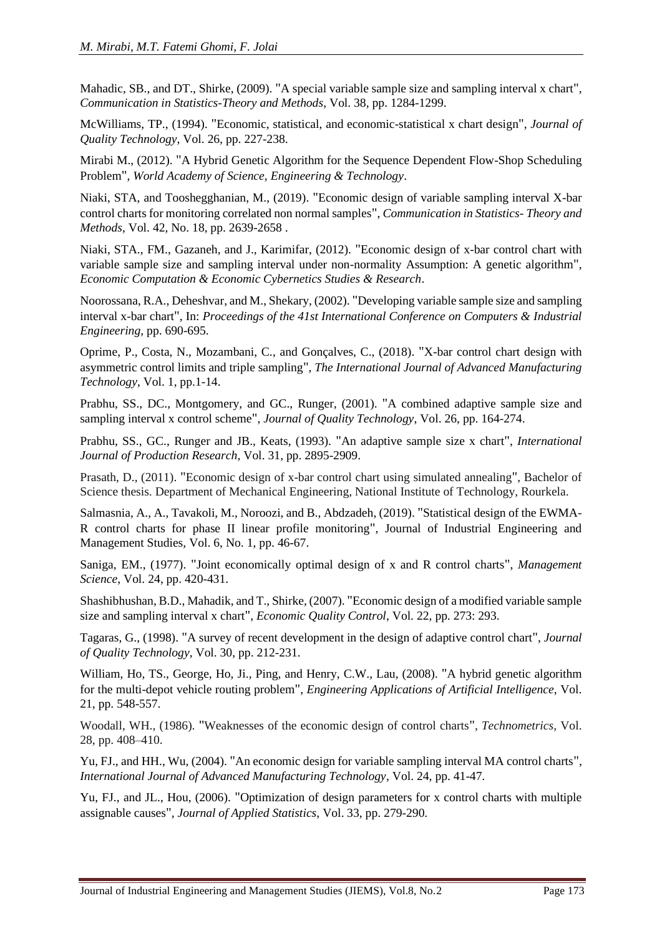Mahadic, SB., and DT., Shirke, (2009). "A special variable sample size and sampling interval x chart", *Communication in Statistics-Theory and Methods*, Vol. 38, pp. 1284-1299.

McWilliams, TP., (1994). "Economic, statistical, and economic-statistical x chart design", *Journal of Quality Technology*, Vol. 26, pp. 227-238.

Mirabi M., (2012). "A Hybrid Genetic Algorithm for the Sequence Dependent Flow-Shop Scheduling Problem", *World Academy of Science, Engineering & Technology*.

Niaki, STA, and Tooshegghanian, M., (2019). "Economic design of variable sampling interval X-bar control charts for monitoring correlated non normal samples", *[Communication in Statistics-](https://www.researchgate.net/journal/0361-0926_Communication_in_Statistics-Theory_and_Methods) Theory and [Methods](https://www.researchgate.net/journal/0361-0926_Communication_in_Statistics-Theory_and_Methods)*, Vol. 42, No. 18, pp. 2639-2658 .

Niaki, STA., FM., Gazaneh, and J., Karimifar, (2012). "Economic design of x-bar control chart with variable sample size and sampling interval under non-normality Assumption: A genetic algorithm", *Economic Computation & Economic Cybernetics Studies & Research*.

Noorossana, R.A., Deheshvar, and M., Shekary, (2002). "Developing variable sample size and sampling interval x-bar chart", In: *Proceedings of the 41st International Conference on Computers & Industrial Engineering,* pp. 690-695.

Oprime, P., Costa, N., Mozambani, C., and Gonçalves, C., (2018). "X-bar control chart design with asymmetric control limits and triple sampling", *[The International Journal of Advanced Manufacturing](https://link.springer.com/journal/170)  [Technology](https://link.springer.com/journal/170)*, Vol. 1, pp.1-14.

Prabhu, SS., DC., Montgomery, and GC., Runger, (2001). "A combined adaptive sample size and sampling interval x control scheme", *Journal of Quality Technology*, Vol. 26, pp. 164-274.

Prabhu, SS., GC., Runger and JB., Keats, (1993). "An adaptive sample size x chart", *International Journal of Production Research*, Vol. 31, pp. 2895-2909.

Prasath, D., (2011). "Economic design of x-bar control chart using simulated annealing", Bachelor of Science thesis. Department of Mechanical Engineering, National Institute of Technology, Rourkela.

Salmasnia, A., A., Tavakoli, M., Noroozi, and B., Abdzadeh, (2019). "Statistical design of the EWMA-R control charts for phase II linear profile monitoring", Journal of Industrial Engineering and Management Studies, Vol. 6, No. 1, pp. 46-67.

Saniga, EM., (1977). "Joint economically optimal design of x and R control charts", *Management Science*, Vol. 24, pp. 420-431.

Shashibhushan, B.D., Mahadik, and T., Shirke, (2007). "Economic design of a modified variable sample size and sampling interval x chart", *Economic Quality Control*, Vol. 22, pp. 273: 293.

Tagaras, G., (1998). "A survey of recent development in the design of adaptive control chart", *Journal of Quality Technology*, Vol. 30, pp. 212-231.

William, Ho, TS., George, Ho, Ji., Ping, and Henry, C.W., Lau, (2008). "A hybrid genetic algorithm for the multi-depot vehicle routing problem", *Engineering Applications of Artificial Intelligence*, Vol. 21, pp. 548-557.

Woodall, WH., (1986). "Weaknesses of the economic design of control charts", *Technometrics*, Vol. 28, pp. 408–410.

Yu, FJ., and HH., Wu, (2004). "An economic design for variable sampling interval MA control charts", *International Journal of Advanced Manufacturing Technology*, Vol. 24, pp. 41-47.

Yu, FJ., and JL., Hou, (2006). "Optimization of design parameters for x control charts with multiple assignable causes", *Journal of Applied Statistics*, Vol. 33, pp. 279-290.